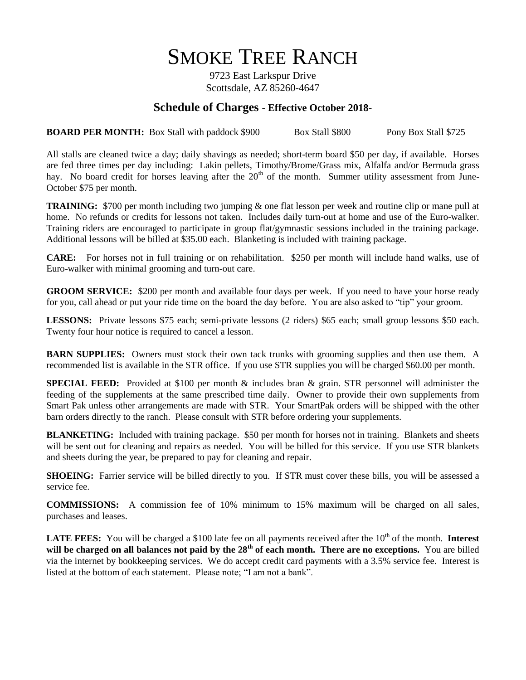# SMOKE TREE RANCH

9723 East Larkspur Drive Scottsdale, AZ 85260-4647

### **Schedule of Charges - Effective October 2018-**

**BOARD PER MONTH:** Box Stall with paddock \$900 Box Stall \$800 Pony Box Stall \$725

All stalls are cleaned twice a day; daily shavings as needed; short-term board \$50 per day, if available. Horses are fed three times per day including: Lakin pellets, Timothy/Brome/Grass mix, Alfalfa and/or Bermuda grass hay. No board credit for horses leaving after the  $20<sup>th</sup>$  of the month. Summer utility assessment from June-October \$75 per month.

**TRAINING:** \$700 per month including two jumping & one flat lesson per week and routine clip or mane pull at home. No refunds or credits for lessons not taken. Includes daily turn-out at home and use of the Euro-walker. Training riders are encouraged to participate in group flat/gymnastic sessions included in the training package. Additional lessons will be billed at \$35.00 each. Blanketing is included with training package.

**CARE:** For horses not in full training or on rehabilitation. \$250 per month will include hand walks, use of Euro-walker with minimal grooming and turn-out care.

**GROOM SERVICE:** \$200 per month and available four days per week. If you need to have your horse ready for you, call ahead or put your ride time on the board the day before. You are also asked to "tip" your groom.

**LESSONS:** Private lessons \$75 each; semi-private lessons (2 riders) \$65 each; small group lessons \$50 each. Twenty four hour notice is required to cancel a lesson.

**BARN SUPPLIES:** Owners must stock their own tack trunks with grooming supplies and then use them. A recommended list is available in the STR office. If you use STR supplies you will be charged \$60.00 per month.

**SPECIAL FEED:** Provided at \$100 per month & includes bran & grain. STR personnel will administer the feeding of the supplements at the same prescribed time daily. Owner to provide their own supplements from Smart Pak unless other arrangements are made with STR. Your SmartPak orders will be shipped with the other barn orders directly to the ranch. Please consult with STR before ordering your supplements.

**BLANKETING:** Included with training package. \$50 per month for horses not in training. Blankets and sheets will be sent out for cleaning and repairs as needed. You will be billed for this service. If you use STR blankets and sheets during the year, be prepared to pay for cleaning and repair.

**SHOEING:** Farrier service will be billed directly to you. If STR must cover these bills, you will be assessed a service fee.

**COMMISSIONS:** A commission fee of 10% minimum to 15% maximum will be charged on all sales, purchases and leases.

**LATE FEES:** You will be charged a \$100 late fee on all payments received after the  $10<sup>th</sup>$  of the month. **Interest will be charged on all balances not paid by the 28<sup>th</sup> of each month. There are no exceptions.** You are billed via the internet by bookkeeping services. We do accept credit card payments with a 3.5% service fee. Interest is listed at the bottom of each statement. Please note; "I am not a bank".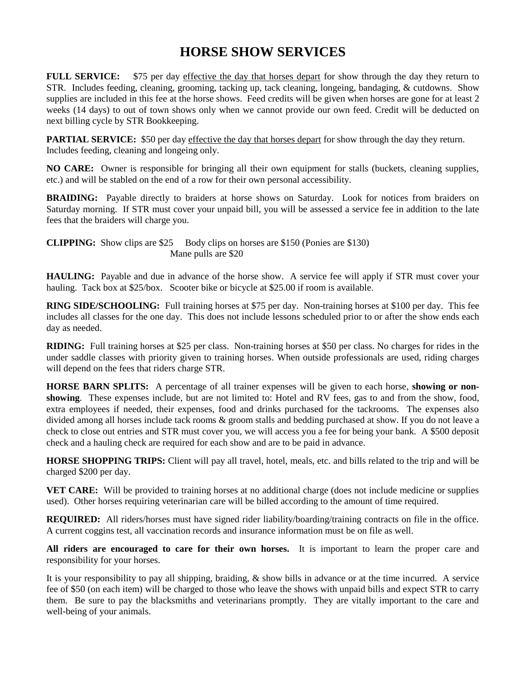## **HORSE SHOW SERVICES**

**FULL SERVICE:** \$75 per day effective the day that horses depart for show through the day they return to STR. Includes feeding, cleaning, grooming, tacking up, tack cleaning, longeing, bandaging, & cutdowns. Show supplies are included in this fee at the horse shows. Feed credits will be given when horses are gone for at least 2 weeks (14 days) to out of town shows only when we cannot provide our own feed. Credit will be deducted on next billing cycle by STR Bookkeeping.

**PARTIAL SERVICE:** \$50 per day effective the day that horses depart for show through the day they return. Includes feeding, cleaning and longeing only.

**NO CARE:** Owner is responsible for bringing all their own equipment for stalls (buckets, cleaning supplies, etc.) and will be stabled on the end of a row for their own personal accessibility.

**BRAIDING:** Payable directly to braiders at horse shows on Saturday. Look for notices from braiders on Saturday morning. If STR must cover your unpaid bill, you will be assessed a service fee in addition to the late fees that the braiders will charge you.

**CLIPPING:** Show clips are \$25 Body clips on horses are \$150 (Ponies are \$130) Mane pulls are \$20

**HAULING:** Payable and due in advance of the horse show. A service fee will apply if STR must cover your hauling. Tack box at \$25/box. Scooter bike or bicycle at \$25.00 if room is available.

**RING SIDE/SCHOOLING:** Full training horses at \$75 per day. Non-training horses at \$100 per day. This fee includes all classes for the one day. This does not include lessons scheduled prior to or after the show ends each day as needed.

**RIDING:** Full training horses at \$25 per class. Non-training horses at \$50 per class. No charges for rides in the under saddle classes with priority given to training horses. When outside professionals are used, riding charges will depend on the fees that riders charge STR.

**HORSE BARN SPLITS:** A percentage of all trainer expenses will be given to each horse, **showing or nonshowing**. These expenses include, but are not limited to: Hotel and RV fees, gas to and from the show, food, extra employees if needed, their expenses, food and drinks purchased for the tackrooms. The expenses also divided among all horses include tack rooms & groom stalls and bedding purchased at show. If you do not leave a check to close out entries and STR must cover you, we will access you a fee for being your bank. A \$500 deposit check and a hauling check are required for each show and are to be paid in advance.

**HORSE SHOPPING TRIPS:** Client will pay all travel, hotel, meals, etc. and bills related to the trip and will be charged \$200 per day.

**VET CARE:** Will be provided to training horses at no additional charge (does not include medicine or supplies used). Other horses requiring veterinarian care will be billed according to the amount of time required.

**REQUIRED:** All riders/horses must have signed rider liability/boarding/training contracts on file in the office. A current coggins test, all vaccination records and insurance information must be on file as well.

**All riders are encouraged to care for their own horses.** It is important to learn the proper care and responsibility for your horses.

It is your responsibility to pay all shipping, braiding, & show bills in advance or at the time incurred. A service fee of \$50 (on each item) will be charged to those who leave the shows with unpaid bills and expect STR to carry them. Be sure to pay the blacksmiths and veterinarians promptly. They are vitally important to the care and well-being of your animals.